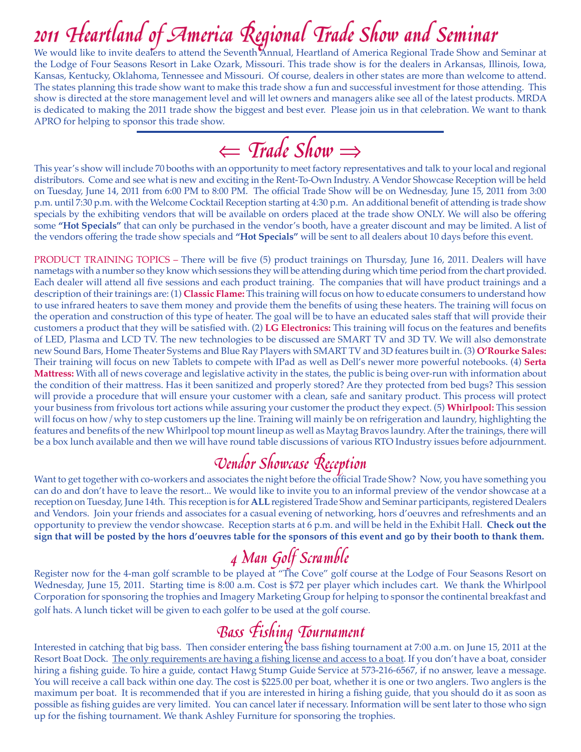We would like to invite dealers to attend the Seventh Annual, Heartland of America Regional Trade Show and Seminar at the Lodge of Four Seasons Resort in Lake Ozark, Missouri. This trade show is for the dealers in Arkansas, Illinois, Iowa, Kansas, Kentucky, Oklahoma, Tennessee and Missouri. Of course, dealers in other states are more than welcome to attend. The states planning this trade show want to make this trade show a fun and successful investment for those attending. This show is directed at the store management level and will let owners and managers alike see all of the latest products. MRDA is dedicated to making the 2011 trade show the biggest and best ever. Please join us in that celebration. We want to thank APRO for helping to sponsor this trade show.

⇐ Trade Show<sup>⇒</sup>

This year's show will include 70 booths with an opportunity to meet factory representatives and talk to your local and regional distributors. Come and see what is new and exciting in the Rent-To-Own Industry. A Vendor Showcase Reception will be held on Tuesday, June 14, 2011 from 6:00 PM to 8:00 PM. The official Trade Show will be on Wednesday, June 15, 2011 from 3:00 p.m. until 7:30 p.m. with the Welcome Cocktail Reception starting at 4:30 p.m. An additional benefit of attending is trade show specials by the exhibiting vendors that will be available on orders placed at the trade show ONLY. We will also be offering some **"Hot Specials"** that can only be purchased in the vendor's booth, have a greater discount and may be limited. A list of the vendors offering the trade show specials and **"Hot Specials"** will be sent to all dealers about 10 days before this event.

PRODUCT TRAINING TOPICS – There will be five (5) product trainings on Thursday, June 16, 2011. Dealers will have nametags with a number so they know which sessions they will be attending during which time period from the chart provided. Each dealer will attend all five sessions and each product training. The companies that will have product trainings and a description of their trainings are: (1) **Classic Flame:** This training will focus on how to educate consumers to understand how to use infrared heaters to save them money and provide them the benefits of using these heaters. The training will focus on the operation and construction of this type of heater. The goal will be to have an educated sales staff that will provide their customers a product that they will be satisfied with. (2) **LG Electronics:** This training will focus on the features and benefits of LED, Plasma and LCD TV. The new technologies to be discussed are SMART TV and 3D TV. We will also demonstrate new Sound Bars, Home Theater Systems and Blue Ray Players with SMART TV and 3D features built in. (3) **O'Rourke Sales:** Their training will focus on new Tablets to compete with IPad as well as Dell's newer more powerful notebooks. (4) **Serta Mattress:** With all of news coverage and legislative activity in the states, the public is being over-run with information about the condition of their mattress. Has it been sanitized and properly stored? Are they protected from bed bugs? This session will provide a procedure that will ensure your customer with a clean, safe and sanitary product. This process will protect your business from frivolous tort actions while assuring your customer the product they expect. (5) **Whirlpool:** This session will focus on how/why to step customers up the line. Training will mainly be on refrigeration and laundry, highlighting the features and benefits of the new Whirlpool top mount lineup as well as Maytag Bravos laundry. After the trainings, there will be a box lunch available and then we will have round table discussions of various RTO Industry issues before adjournment.

Vendor Showcase Reception<br>Want to get together with co-workers and associates the night before the official Trade Show? Now, you have something you can do and don't have to leave the resort... We would like to invite you to an informal preview of the vendor showcase at a reception on Tuesday, June 14th. This reception is for **ALL** registered Trade Show and Seminar participants, registered Dealers and Vendors. Join your friends and associates for a casual evening of networking, hors d'oeuvres and refreshments and an opportunity to preview the vendor showcase. Reception starts at 6 p.m. and will be held in the Exhibit Hall. **Check out the sign that will be posted by the hors d'oeuvres table for the sponsors of this event and go by their booth to thank them.** 

4 Man Golf Scramble<br>Register now for the 4-man golf scramble to be played at "The Cove" golf course at the Lodge of Four Seasons Resort on Wednesday, June 15, 2011. Starting time is 8:00 a.m. Cost is \$72 per player which includes cart. We thank the Whirlpool Corporation for sponsoring the trophies and Imagery Marketing Group for helping to sponsor the continental breakfast and golf hats. A lunch ticket will be given to each golfer to be used at the golf course.

**Bass Fishing Tournament**<br>Interested in catching that big bass. Then consider entering the bass fishing tournament at 7:00 a.m. on June 15, 2011 at the Resort Boat Dock. The only requirements are having a fishing license and access to a boat. If you don't have a boat, consider hiring a fishing guide. To hire a guide, contact Hawg Stump Guide Service at 573-216-6567, if no answer, leave a message. You will receive a call back within one day. The cost is \$225.00 per boat, whether it is one or two anglers. Two anglers is the maximum per boat. It is recommended that if you are interested in hiring a fishing guide, that you should do it as soon as possible as fishing guides are very limited. You can cancel later if necessary. Information will be sent later to those who sign up for the fishing tournament. We thank Ashley Furniture for sponsoring the trophies.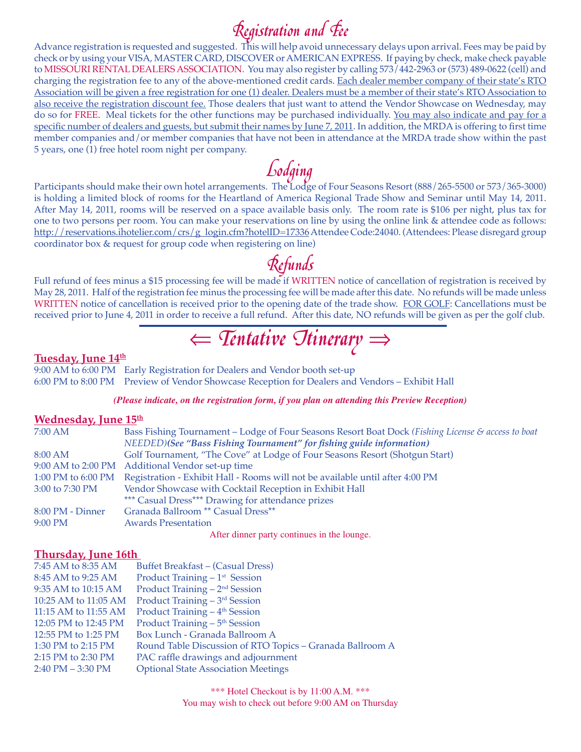$\kappa$ egistration and  $\epsilon$ <br>Advance registration is requested and suggested. This will help avoid unnecessary delays upon arrival. Fees may be paid by check or by using your VISA, MASTER CARD, DISCOVER or AMERICAN EXPRESS. If paying by check, make check payable to MISSOURI RENTAL DEALERS ASSOCIATION. You may also register by calling 573/442-2963 or (573) 489-0622 (cell) and charging the registration fee to any of the above-mentioned credit cards. Each dealer member company of their state's RTO Association will be given a free registration for one (1) dealer. Dealers must be a member of their state's RTO Association to also receive the registration discount fee. Those dealers that just want to attend the Vendor Showcase on Wednesday, may do so for FREE. Meal tickets for the other functions may be purchased individually. You may also indicate and pay for a specific number of dealers and guests, but submit their names by June 7, 2011. In addition, the MRDA is offering to first time member companies and/or member companies that have not been in attendance at the MRDA trade show within the past 5 years, one (1) free hotel room night per company.

Lodging<br>Participants should make their own hotel arrangements. The Lodge of Four Seasons Resort (888/265-5500 or 573/365-3000) is holding a limited block of rooms for the Heartland of America Regional Trade Show and Seminar until May 14, 2011. After May 14, 2011, rooms will be reserved on a space available basis only. The room rate is \$106 per night, plus tax for one to two persons per room. You can make your reservations on line by using the online link & attendee code as follows: http://reservations.ihotelier.com/crs/g\_login.cfm?hotelID=17336 Attendee Code:24040. (Attendees: Please disregard group coordinator box & request for group code when registering on line)

**Refunds**<br>Full refund of fees minus a \$15 processing fee will be made if WRITTEN notice of cancellation of registration is received by May 28, 2011. Half of the registration fee minus the processing fee will be made after this date. No refunds will be made unless WRITTEN notice of cancellation is received prior to the opening date of the trade show. FOR GOLF: Cancellations must be received prior to June 4, 2011 in order to receive a full refund. After this date, NO refunds will be given as per the golf club.

⇐ Tentative Itinerary<sup>⇒</sup>

## Tuesday, June 14<sup>th</sup>

9:00 AM to 6:00 PM Early Registration for Dealers and Vendor booth set-up 6:00 PM to 8:00 PM Preview of Vendor Showcase Reception for Dealers and Vendors – Exhibit Hall

### *(Please indicate, on the registration form, if you plan on attending this Preview Reception)*

### **Wednesday, June 15th**

| $7:00 \text{ AM}$  | Bass Fishing Tournament – Lodge of Four Seasons Resort Boat Dock (Fishing License & access to boat |  |  |
|--------------------|----------------------------------------------------------------------------------------------------|--|--|
|                    | NEEDED)(See "Bass Fishing Tournament" for fishing guide information)                               |  |  |
| 8:00 AM            | Golf Tournament, "The Cove" at Lodge of Four Seasons Resort (Shotgun Start)                        |  |  |
|                    | 9:00 AM to 2:00 PM Additional Vendor set-up time                                                   |  |  |
| 1:00 PM to 6:00 PM | Registration - Exhibit Hall - Rooms will not be available until after 4:00 PM                      |  |  |
| 3:00 to 7:30 PM    | Vendor Showcase with Cocktail Reception in Exhibit Hall                                            |  |  |
|                    | *** Casual Dress*** Drawing for attendance prizes                                                  |  |  |
| 8:00 PM - Dinner   | Granada Ballroom ** Casual Dress**                                                                 |  |  |
| $9:00$ PM          | <b>Awards Presentation</b>                                                                         |  |  |
|                    | After dinner party continues in the lounge.                                                        |  |  |

### **Thursday, June 16th**

| 7:45 AM to 8:35 AM   | <b>Buffet Breakfast – (Casual Dress)</b>                  |
|----------------------|-----------------------------------------------------------|
| 8:45 AM to 9:25 AM   | Product Training $-1$ <sup>st</sup> Session               |
| 9:35 AM to 10:15 AM  | Product Training $-2nd$ Session                           |
| 10:25 AM to 11:05 AM | Product Training – 3 <sup>rd</sup> Session                |
| 11:15 AM to 11:55 AM | Product Training $-4$ <sup>th</sup> Session               |
| 12:05 PM to 12:45 PM | Product Training – 5 <sup>th</sup> Session                |
| 12:55 PM to 1:25 PM  | Box Lunch - Granada Ballroom A                            |
| 1:30 PM to 2:15 PM   | Round Table Discussion of RTO Topics - Granada Ballroom A |
| 2:15 PM to 2:30 PM   | PAC raffle drawings and adjournment                       |
| $2:40$ PM $-3:30$ PM | <b>Optional State Association Meetings</b>                |
|                      |                                                           |

\*\*\* Hotel Checkout is by 11:00 A.M. \*\*\* You may wish to check out before 9:00 AM on Thursday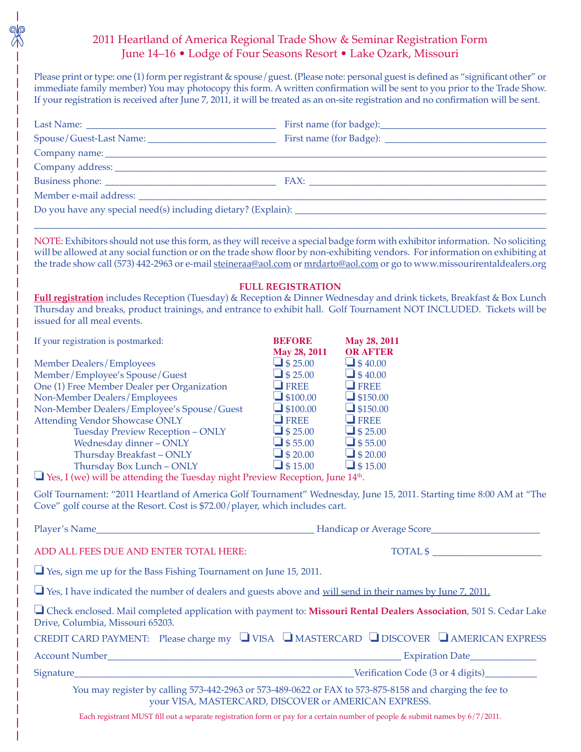# 2011 Heartland of America Regional Trade Show & Seminar Registration Form June 14–16 • Lodge of Four Seasons Resort • Lake Ozark, Missouri

Please print or type: one (1) form per registrant & spouse/guest. (Please note: personal guest is defined as "significant other" or immediate family member) You may photocopy this form. A written confirmation will be sent to you prior to the Trade Show. If your registration is received after June 7, 2011, it will be treated as an on-site registration and no confirmation will be sent.

| NOTE: Exhibitors should not use this form, as they will receive a special badge form with exhibitor information. No soliciting<br>will be allowed at any social function or on the trade show floor by non-exhibiting vendors. For information on exhibiting at<br>the trade show call (573) 442-2963 or e-mail steineraa@aol.com or mrdarto@aol.com or go to www.missourirentaldealers.org |                                    |                                  |  |  |
|---------------------------------------------------------------------------------------------------------------------------------------------------------------------------------------------------------------------------------------------------------------------------------------------------------------------------------------------------------------------------------------------|------------------------------------|----------------------------------|--|--|
| <b>FULL REGISTRATION</b><br>Full registration includes Reception (Tuesday) & Reception & Dinner Wednesday and drink tickets, Breakfast & Box Lunch<br>Thursday and breaks, product trainings, and entrance to exhibit hall. Golf Tournament NOT INCLUDED. Tickets will be<br>issued for all meal events.                                                                                    |                                    |                                  |  |  |
| If your registration is postmarked:                                                                                                                                                                                                                                                                                                                                                         | <b>BEFORE</b>                      | May 28, 2011                     |  |  |
|                                                                                                                                                                                                                                                                                                                                                                                             | May 28, 2011                       | <b>OR AFTER</b>                  |  |  |
| <b>Member Dealers/Employees</b><br>Member/Employee's Spouse/Guest                                                                                                                                                                                                                                                                                                                           | $\Box$ \$ 25.00<br>$\Box$ \$ 25.00 | $\Box$ \$40.00<br>$\Box$ \$40.00 |  |  |
| One (1) Free Member Dealer per Organization                                                                                                                                                                                                                                                                                                                                                 | $\Box$ FREE                        | $\Box$ FREE                      |  |  |
| Non-Member Dealers/Employees                                                                                                                                                                                                                                                                                                                                                                | $\Box$ \$100.00                    | $\Box$ \$150.00                  |  |  |
| Non-Member Dealers/Employee's Spouse/Guest                                                                                                                                                                                                                                                                                                                                                  | $\Box$ \$100.00                    | $\Box$ \$150.00                  |  |  |
| <b>Attending Vendor Showcase ONLY</b>                                                                                                                                                                                                                                                                                                                                                       | $\Box$ FREE                        | $\Box$ FREE                      |  |  |
| Tuesday Preview Reception - ONLY                                                                                                                                                                                                                                                                                                                                                            | $\Box$ \$ 25.00                    | $\Box$ \$ 25.00                  |  |  |
| Wednesday dinner - ONLY                                                                                                                                                                                                                                                                                                                                                                     | $\Box$ \$55.00                     | $\Box$ \$55.00                   |  |  |
| Thursday Breakfast-ONLY                                                                                                                                                                                                                                                                                                                                                                     | $\Box$ \$ 20.00                    | $\Box$ \$ 20.00                  |  |  |
| Thursday Box Lunch - ONLY                                                                                                                                                                                                                                                                                                                                                                   | $\Box$ \$15.00                     | $\Box$ \$15.00                   |  |  |
| $\Box$ Yes, I (we) will be attending the Tuesday night Preview Reception, June 14 <sup>th</sup> .                                                                                                                                                                                                                                                                                           |                                    |                                  |  |  |
| Golf Tournament: "2011 Heartland of America Golf Tournament" Wednesday, June 15, 2011. Starting time 8:00 AM at "The<br>Cove" golf course at the Resort. Cost is \$72.00/player, which includes cart.                                                                                                                                                                                       |                                    |                                  |  |  |
| Player's Name<br><b>Example 2018</b> Handicap or Average Score                                                                                                                                                                                                                                                                                                                              |                                    |                                  |  |  |
| ADD ALL FEES DUE AND ENTER TOTAL HERE:                                                                                                                                                                                                                                                                                                                                                      |                                    | $\overline{\text{TOTAL } }$ \$   |  |  |
| $\Box$ Yes, sign me up for the Bass Fishing Tournament on June 15, 2011.                                                                                                                                                                                                                                                                                                                    |                                    |                                  |  |  |
| $\Box$ Yes, I have indicated the number of dealers and guests above and <u>will send in their names by June 7, 2011.</u>                                                                                                                                                                                                                                                                    |                                    |                                  |  |  |
| Check enclosed. Mail completed application with payment to: Missouri Rental Dealers Association, 501 S. Cedar Lake<br>Drive, Columbia, Missouri 65203.                                                                                                                                                                                                                                      |                                    |                                  |  |  |
| CREDIT CARD PAYMENT: Please charge my U VISA UMASTERCARD U DISCOVER U AMERICAN EXPRESS                                                                                                                                                                                                                                                                                                      |                                    |                                  |  |  |
|                                                                                                                                                                                                                                                                                                                                                                                             |                                    |                                  |  |  |
|                                                                                                                                                                                                                                                                                                                                                                                             |                                    |                                  |  |  |
| You may register by calling 573-442-2963 or 573-489-0622 or FAX to 573-875-8158 and charging the fee to<br>your VISA, MASTERCARD, DISCOVER or AMERICAN EXPRESS.                                                                                                                                                                                                                             |                                    |                                  |  |  |

Each registrant MUST fill out a separate registration form or pay for a certain number of people & submit names by 6/7/2011.